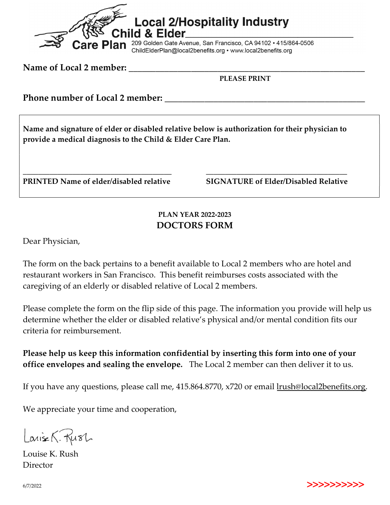

Name of Local 2 member:

PLEASE PRINT

Phone number of Local 2 member:

Name and signature of elder or disabled relative below is authorization for their physician to provide a medical diagnosis to the Child & Elder Care Plan.

\_\_\_\_\_\_\_\_\_\_\_\_\_\_\_\_\_\_\_\_\_\_\_\_\_\_\_\_\_\_\_\_\_\_\_\_\_\_\_ \_\_\_\_\_\_\_\_\_\_\_\_\_\_\_\_\_\_\_\_\_\_\_\_\_\_\_\_\_\_\_\_\_\_\_\_\_

PRINTED Name of elder/disabled relative SIGNATURE of Elder/Disabled Relative

## PLAN YEAR 2022-2023 DOCTORS FORM

Dear Physician,

The form on the back pertains to a benefit available to Local 2 members who are hotel and restaurant workers in San Francisco. This benefit reimburses costs associated with the caregiving of an elderly or disabled relative of Local 2 members.

Please complete the form on the flip side of this page. The information you provide will help us determine whether the elder or disabled relative's physical and/or mental condition fits our criteria for reimbursement.

## Please help us keep this information confidential by inserting this form into one of your office envelopes and sealing the envelope. The Local 2 member can then deliver it to us.

If you have any questions, please call me, 415.864.8770, x720 or email lrush@local2benefits.org.

We appreciate your time and cooperation,

Larise K. Rush

Louise K. Rush Director